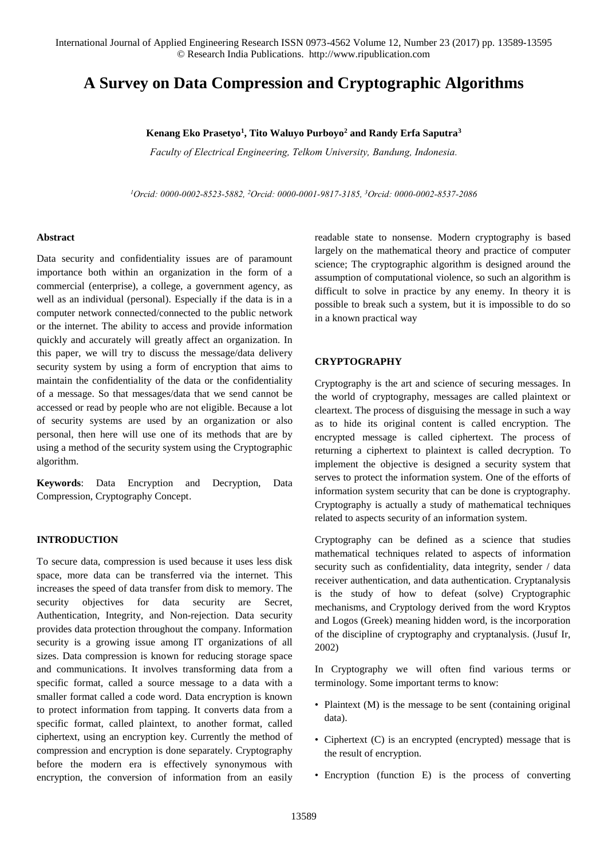# **A Survey on Data Compression and Cryptographic Algorithms**

## **Kenang Eko Prasetyo<sup>1</sup> , Tito Waluyo Purboyo<sup>2</sup> and Randy Erfa Saputra<sup>3</sup>**

*Faculty of Electrical Engineering, Telkom University, Bandung, Indonesia.* 

*<sup>1</sup>Orcid: 0000-0002-8523-5882, <sup>2</sup>Orcid: 0000-0001-9817-3185, <sup>3</sup>Orcid: 0000-0002-8537-2086* 

## **Abstract**

Data security and confidentiality issues are of paramount importance both within an organization in the form of a commercial (enterprise), a college, a government agency, as well as an individual (personal). Especially if the data is in a computer network connected/connected to the public network or the internet. The ability to access and provide information quickly and accurately will greatly affect an organization. In this paper, we will try to discuss the message/data delivery security system by using a form of encryption that aims to maintain the confidentiality of the data or the confidentiality of a message. So that messages/data that we send cannot be accessed or read by people who are not eligible. Because a lot of security systems are used by an organization or also personal, then here will use one of its methods that are by using a method of the security system using the Cryptographic algorithm.

**Keywords**: Data Encryption and Decryption, Data Compression, Cryptography Concept.

## **INTRODUCTION**

To secure data, compression is used because it uses less disk space, more data can be transferred via the internet. This increases the speed of data transfer from disk to memory. The security objectives for data security are Secret, Authentication, Integrity, and Non-rejection. Data security provides data protection throughout the company. Information security is a growing issue among IT organizations of all sizes. Data compression is known for reducing storage space and communications. It involves transforming data from a specific format, called a source message to a data with a smaller format called a code word. Data encryption is known to protect information from tapping. It converts data from a specific format, called plaintext, to another format, called ciphertext, using an encryption key. Currently the method of compression and encryption is done separately. Cryptography before the modern era is effectively synonymous with encryption, the conversion of information from an easily readable state to nonsense. Modern cryptography is based largely on the mathematical theory and practice of computer science; The cryptographic algorithm is designed around the assumption of computational violence, so such an algorithm is difficult to solve in practice by any enemy. In theory it is possible to break such a system, but it is impossible to do so in a known practical way

## **CRYPTOGRAPHY**

Cryptography is the art and science of securing messages. In the world of cryptography, messages are called plaintext or cleartext. The process of disguising the message in such a way as to hide its original content is called encryption. The encrypted message is called ciphertext. The process of returning a ciphertext to plaintext is called decryption. To implement the objective is designed a security system that serves to protect the information system. One of the efforts of information system security that can be done is cryptography. Cryptography is actually a study of mathematical techniques related to aspects security of an information system.

Cryptography can be defined as a science that studies mathematical techniques related to aspects of information security such as confidentiality, data integrity, sender / data receiver authentication, and data authentication. Cryptanalysis is the study of how to defeat (solve) Cryptographic mechanisms, and Cryptology derived from the word Kryptos and Logos (Greek) meaning hidden word, is the incorporation of the discipline of cryptography and cryptanalysis. (Jusuf Ir, 2002)

In Cryptography we will often find various terms or terminology. Some important terms to know:

- Plaintext (M) is the message to be sent (containing original data).
- Ciphertext (C) is an encrypted (encrypted) message that is the result of encryption.
- Encryption (function E) is the process of converting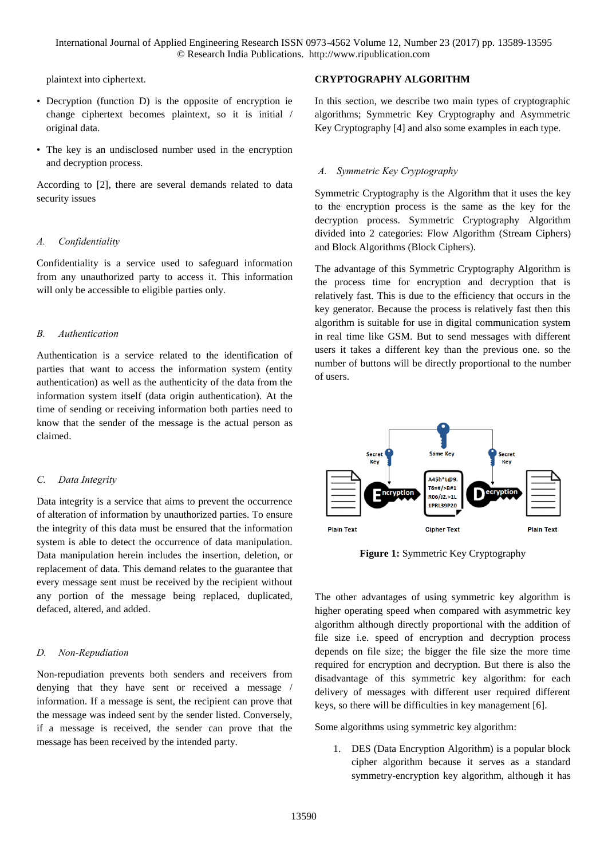plaintext into ciphertext.

- Decryption (function D) is the opposite of encryption ie change ciphertext becomes plaintext, so it is initial / original data.
- The key is an undisclosed number used in the encryption and decryption process.

According to [2], there are several demands related to data security issues

## *A. Confidentiality*

Confidentiality is a service used to safeguard information from any unauthorized party to access it. This information will only be accessible to eligible parties only.

#### *B. Authentication*

Authentication is a service related to the identification of parties that want to access the information system (entity authentication) as well as the authenticity of the data from the information system itself (data origin authentication). At the time of sending or receiving information both parties need to know that the sender of the message is the actual person as claimed.

#### *C. Data Integrity*

Data integrity is a service that aims to prevent the occurrence of alteration of information by unauthorized parties. To ensure the integrity of this data must be ensured that the information system is able to detect the occurrence of data manipulation. Data manipulation herein includes the insertion, deletion, or replacement of data. This demand relates to the guarantee that every message sent must be received by the recipient without any portion of the message being replaced, duplicated, defaced, altered, and added.

## *D. Non-Repudiation*

Non-repudiation prevents both senders and receivers from denying that they have sent or received a message / information. If a message is sent, the recipient can prove that the message was indeed sent by the sender listed. Conversely, if a message is received, the sender can prove that the message has been received by the intended party.

#### **CRYPTOGRAPHY ALGORITHM**

In this section, we describe two main types of cryptographic algorithms; Symmetric Key Cryptography and Asymmetric Key Cryptography [4] and also some examples in each type.

#### *A. Symmetric Key Cryptography*

Symmetric Cryptography is the Algorithm that it uses the key to the encryption process is the same as the key for the decryption process. Symmetric Cryptography Algorithm divided into 2 categories: Flow Algorithm (Stream Ciphers) and Block Algorithms (Block Ciphers).

The advantage of this Symmetric Cryptography Algorithm is the process time for encryption and decryption that is relatively fast. This is due to the efficiency that occurs in the key generator. Because the process is relatively fast then this algorithm is suitable for use in digital communication system in real time like GSM. But to send messages with different users it takes a different key than the previous one. so the number of buttons will be directly proportional to the number of users.



**Figure 1:** Symmetric Key Cryptography

The other advantages of using symmetric key algorithm is higher operating speed when compared with asymmetric key algorithm although directly proportional with the addition of file size i.e. speed of encryption and decryption process depends on file size; the bigger the file size the more time required for encryption and decryption. But there is also the disadvantage of this symmetric key algorithm: for each delivery of messages with different user required different keys, so there will be difficulties in key management [6].

Some algorithms using symmetric key algorithm:

1. DES (Data Encryption Algorithm) is a popular block cipher algorithm because it serves as a standard symmetry-encryption key algorithm, although it has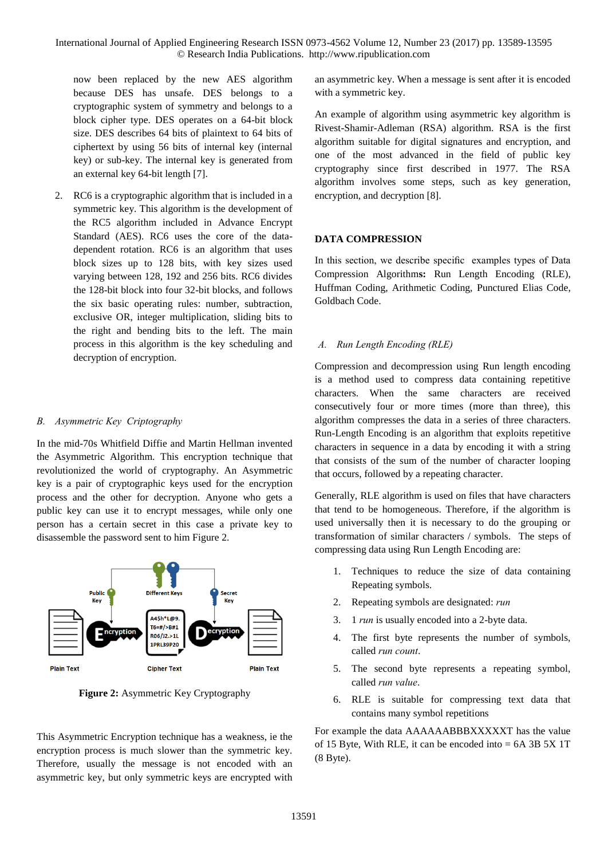now been replaced by the new AES algorithm because DES has unsafe. DES belongs to a cryptographic system of symmetry and belongs to a block cipher type. DES operates on a 64-bit block size. DES describes 64 bits of plaintext to 64 bits of ciphertext by using 56 bits of internal key (internal key) or sub-key. The internal key is generated from an external key 64-bit length [7].

2. RC6 is a cryptographic algorithm that is included in a symmetric key. This algorithm is the development of the RC5 algorithm included in Advance Encrypt Standard (AES). RC6 uses the core of the datadependent rotation. RC6 is an algorithm that uses block sizes up to 128 bits, with key sizes used varying between 128, 192 and 256 bits. RC6 divides the 128-bit block into four 32-bit blocks, and follows the six basic operating rules: number, subtraction, exclusive OR, integer multiplication, sliding bits to the right and bending bits to the left. The main process in this algorithm is the key scheduling and decryption of encryption.

#### *B. Asymmetric Key Criptography*

In the mid-70s Whitfield Diffie and Martin Hellman invented the Asymmetric Algorithm. This encryption technique that revolutionized the world of cryptography. An Asymmetric key is a pair of cryptographic keys used for the encryption process and the other for decryption. Anyone who gets a public key can use it to encrypt messages, while only one person has a certain secret in this case a private key to disassemble the password sent to him Figure 2.



**Figure 2:** Asymmetric Key Cryptography

This Asymmetric Encryption technique has a weakness, ie the encryption process is much slower than the symmetric key. Therefore, usually the message is not encoded with an asymmetric key, but only symmetric keys are encrypted with an asymmetric key. When a message is sent after it is encoded with a symmetric key.

An example of algorithm using asymmetric key algorithm is Rivest-Shamir-Adleman (RSA) algorithm. RSA is the first algorithm suitable for digital signatures and encryption, and one of the most advanced in the field of public key cryptography since first described in 1977. The RSA algorithm involves some steps, such as key generation, encryption, and decryption [8].

## **DATA COMPRESSION**

In this section, we describe specific examples types of Data Compression Algorithm**s:** Run Length Encoding (RLE), Huffman Coding, Arithmetic Coding, Punctured Elias Code, Goldbach Code.

## *A. Run Length Encoding (RLE)*

Compression and decompression using Run length encoding is a method used to compress data containing repetitive characters. When the same characters are received consecutively four or more times (more than three), this algorithm compresses the data in a series of three characters. Run-Length Encoding is an algorithm that exploits repetitive characters in sequence in a data by encoding it with a string that consists of the sum of the number of character looping that occurs, followed by a repeating character.

Generally, RLE algorithm is used on files that have characters that tend to be homogeneous. Therefore, if the algorithm is used universally then it is necessary to do the grouping or transformation of similar characters / symbols. The steps of compressing data using Run Length Encoding are:

- 1. Techniques to reduce the size of data containing Repeating symbols.
- 2. Repeating symbols are designated: *run*
- 3. 1 *run* is usually encoded into a 2-byte data.
- 4. The first byte represents the number of symbols, called *run count*.
- 5. The second byte represents a repeating symbol, called *run value*.
- 6. RLE is suitable for compressing text data that contains many symbol repetitions

For example the data AAAAAABBBXXXXXT has the value of 15 Byte, With RLE, it can be encoded into  $= 6A$  3B 5X 1T (8 Byte).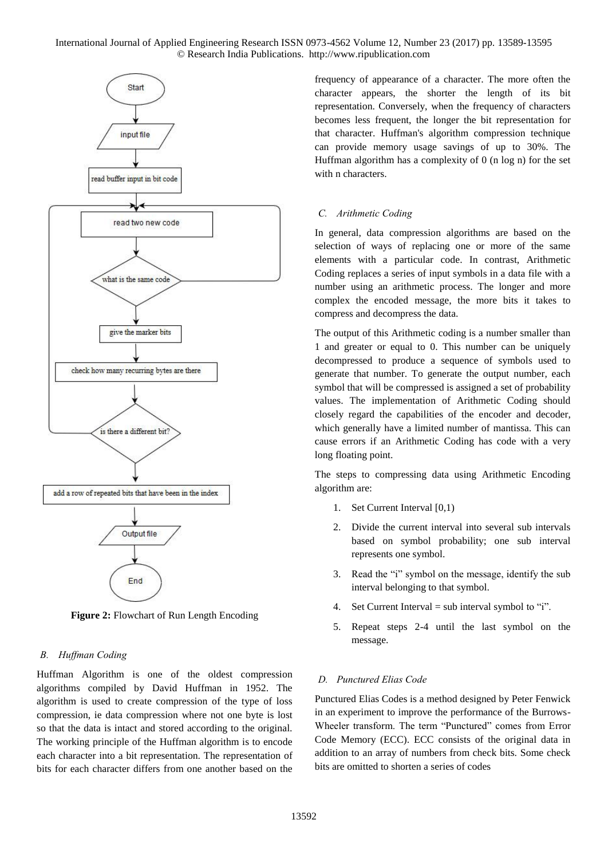

**Figure 2:** Flowchart of Run Length Encoding

## *B. Huffman Coding*

Huffman Algorithm is one of the oldest compression algorithms compiled by David Huffman in 1952. The algorithm is used to create compression of the type of loss compression, ie data compression where not one byte is lost so that the data is intact and stored according to the original. The working principle of the Huffman algorithm is to encode each character into a bit representation. The representation of bits for each character differs from one another based on the

frequency of appearance of a character. The more often the character appears, the shorter the length of its bit representation. Conversely, when the frequency of characters becomes less frequent, the longer the bit representation for that character. Huffman's algorithm compression technique can provide memory usage savings of up to 30%. The Huffman algorithm has a complexity of 0 (n log n) for the set with n characters.

#### *C. Arithmetic Coding*

In general, data compression algorithms are based on the selection of ways of replacing one or more of the same elements with a particular code. In contrast, Arithmetic Coding replaces a series of input symbols in a data file with a number using an arithmetic process. The longer and more complex the encoded message, the more bits it takes to compress and decompress the data.

The output of this Arithmetic coding is a number smaller than 1 and greater or equal to 0. This number can be uniquely decompressed to produce a sequence of symbols used to generate that number. To generate the output number, each symbol that will be compressed is assigned a set of probability values. The implementation of Arithmetic Coding should closely regard the capabilities of the encoder and decoder, which generally have a limited number of mantissa. This can cause errors if an Arithmetic Coding has code with a very long floating point.

The steps to compressing data using Arithmetic Encoding algorithm are:

- 1. Set Current Interval [0,1)
- 2. Divide the current interval into several sub intervals based on symbol probability; one sub interval represents one symbol.
- 3. Read the "i" symbol on the message, identify the sub interval belonging to that symbol.
- 4. Set Current Interval = sub interval symbol to "i".
- 5. Repeat steps 2-4 until the last symbol on the message.

## *D. Punctured Elias Code*

Punctured Elias Codes is a method designed by Peter Fenwick in an experiment to improve the performance of the Burrows-Wheeler transform. The term "Punctured" comes from Error Code Memory (ECC). ECC consists of the original data in addition to an array of numbers from check bits. Some check bits are omitted to shorten a series of codes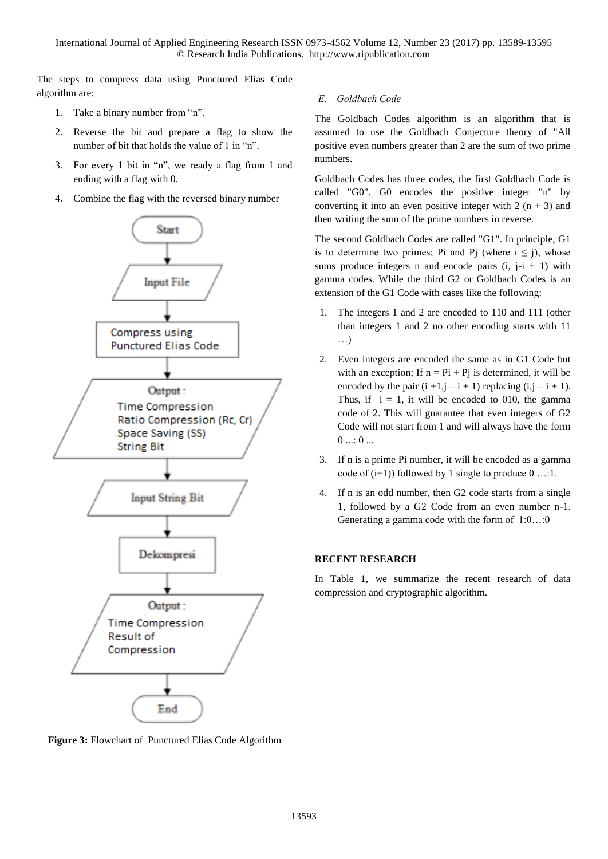The steps to compress data using Punctured Elias Code algorithm are:

- 1. Take a binary number from "n".
- 2. Reverse the bit and prepare a flag to show the number of bit that holds the value of 1 in "n".
- 3. For every 1 bit in "n", we ready a flag from 1 and ending with a flag with 0.
- 4. Combine the flag with the reversed binary number



**Figure 3:** Flowchart of Punctured Elias Code Algorithm

# *E. Goldbach Code*

The Goldbach Codes algorithm is an algorithm that is assumed to use the Goldbach Conjecture theory of "All positive even numbers greater than 2 are the sum of two prime numbers.

Goldbach Codes has three codes, the first Goldbach Code is called "G0". G0 encodes the positive integer "n" by converting it into an even positive integer with  $2(n + 3)$  and then writing the sum of the prime numbers in reverse.

The second Goldbach Codes are called "G1". In principle, G1 is to determine two primes; Pi and Pj (where  $i \le j$ ), whose sums produce integers n and encode pairs  $(i, j-i + 1)$  with gamma codes. While the third G2 or Goldbach Codes is an extension of the G1 Code with cases like the following:

- 1. The integers 1 and 2 are encoded to 110 and 111 (other than integers 1 and 2 no other encoding starts with 11 …)
- 2. Even integers are encoded the same as in G1 Code but with an exception; If  $n = Pi + Pj$  is determined, it will be encoded by the pair  $(i + 1, j - i + 1)$  replacing  $(i, j - i + 1)$ . Thus, if  $i = 1$ , it will be encoded to 010, the gamma code of 2. This will guarantee that even integers of G2 Code will not start from 1 and will always have the form  $0 \dots 0 \dots$
- 3. If n is a prime Pi number, it will be encoded as a gamma code of  $(i+1)$ ) followed by 1 single to produce  $0 \ldots 1$ .
- 4. If n is an odd number, then G2 code starts from a single 1, followed by a G2 Code from an even number n-1. Generating a gamma code with the form of 1:0…:0

# **RECENT RESEARCH**

In Table 1, we summarize the recent research of data compression and cryptographic algorithm.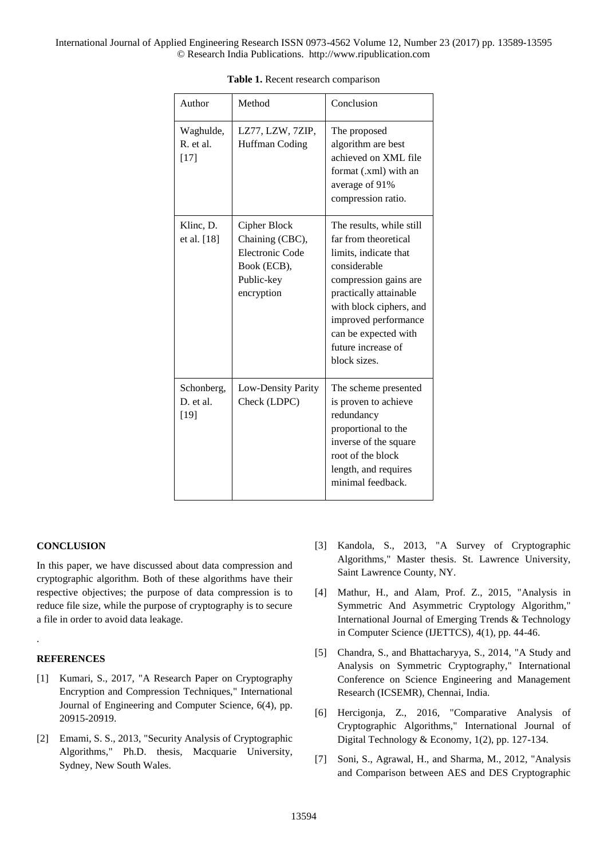| Author                              | Method                                                                                        | Conclusion                                                                                                                                                                                                                                                    |
|-------------------------------------|-----------------------------------------------------------------------------------------------|---------------------------------------------------------------------------------------------------------------------------------------------------------------------------------------------------------------------------------------------------------------|
| Waghulde,<br>R. et al.<br>$[17]$    | LZ77, LZW, 7ZIP,<br>Huffman Coding                                                            | The proposed<br>algorithm are best<br>achieved on XML file<br>format (.xml) with an<br>average of 91%<br>compression ratio.                                                                                                                                   |
| Klinc, D.<br>et al. [18]            | Cipher Block<br>Chaining (CBC),<br>Electronic Code<br>Book (ECB),<br>Public-key<br>encryption | The results, while still<br>far from theoretical<br>limits, indicate that<br>considerable<br>compression gains are<br>practically attainable<br>with block ciphers, and<br>improved performance<br>can be expected with<br>future increase of<br>block sizes. |
| Schonberg,<br>$D.$ et al.<br>$[19]$ | Low-Density Parity<br>Check (LDPC)                                                            | The scheme presented<br>is proven to achieve<br>redundancy<br>proportional to the<br>inverse of the square<br>root of the block<br>length, and requires<br>minimal feedback.                                                                                  |

**Table 1.** Recent research comparison

## **CONCLUSION**

In this paper, we have discussed about data compression and cryptographic algorithm. Both of these algorithms have their respective objectives; the purpose of data compression is to reduce file size, while the purpose of cryptography is to secure a file in order to avoid data leakage.

## **REFERENCES**

.

- [1] Kumari, S., 2017, "A Research Paper on Cryptography Encryption and Compression Techniques," International Journal of Engineering and Computer Science, 6(4), pp. 20915-20919.
- [2] Emami, S. S., 2013, "Security Analysis of Cryptographic Algorithms," Ph.D. thesis, Macquarie University, Sydney, New South Wales.
- [3] Kandola, S., 2013, "A Survey of Cryptographic Algorithms," Master thesis. St. Lawrence University, Saint Lawrence County, NY.
- [4] Mathur, H., and Alam, Prof. Z., 2015, "Analysis in Symmetric And Asymmetric Cryptology Algorithm," International Journal of Emerging Trends & Technology in Computer Science (IJETTCS), 4(1), pp. 44-46.
- [5] Chandra, S., and Bhattacharyya, S., 2014, "A Study and Analysis on Symmetric Cryptography," International Conference on Science Engineering and Management Research (ICSEMR), Chennai, India.
- [6] Hercigonja, Z., 2016, "Comparative Analysis of Cryptographic Algorithms," International Journal of Digital Technology & Economy, 1(2), pp. 127-134.
- [7] Soni, S., Agrawal, H., and Sharma, M., 2012, "Analysis and Comparison between AES and DES Cryptographic